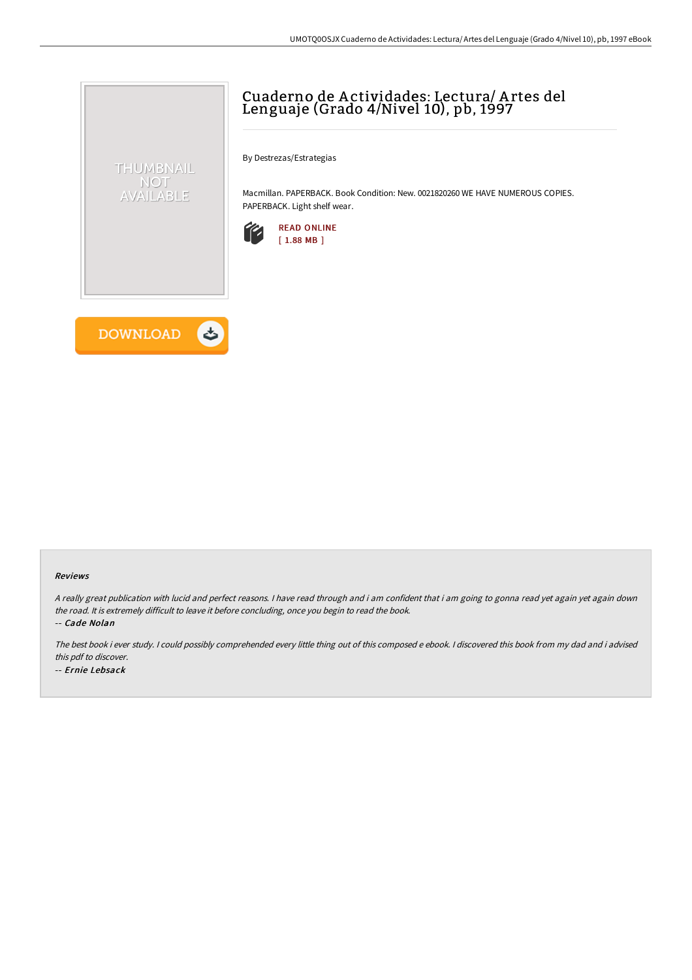# Cuaderno de A ctividades: Lectura/ A rtes del Lenguaje (Grado 4/Nivel 10), pb, 1997

By Destrezas/Estrategias

Macmillan. PAPERBACK. Book Condition: New. 0021820260 WE HAVE NUMEROUS COPIES. PAPERBACK. Light shelf wear.





THUMBNAIL NOT AVAILABLE

#### Reviews

<sup>A</sup> really great publication with lucid and perfect reasons. <sup>I</sup> have read through and i am confident that i am going to gonna read yet again yet again down the road. It is extremely difficult to leave it before concluding, once you begin to read the book.

-- Cade Nolan

The best book i ever study. <sup>I</sup> could possibly comprehended every little thing out of this composed <sup>e</sup> ebook. <sup>I</sup> discovered this book from my dad and i advised this pdf to discover. -- Ernie Lebsack